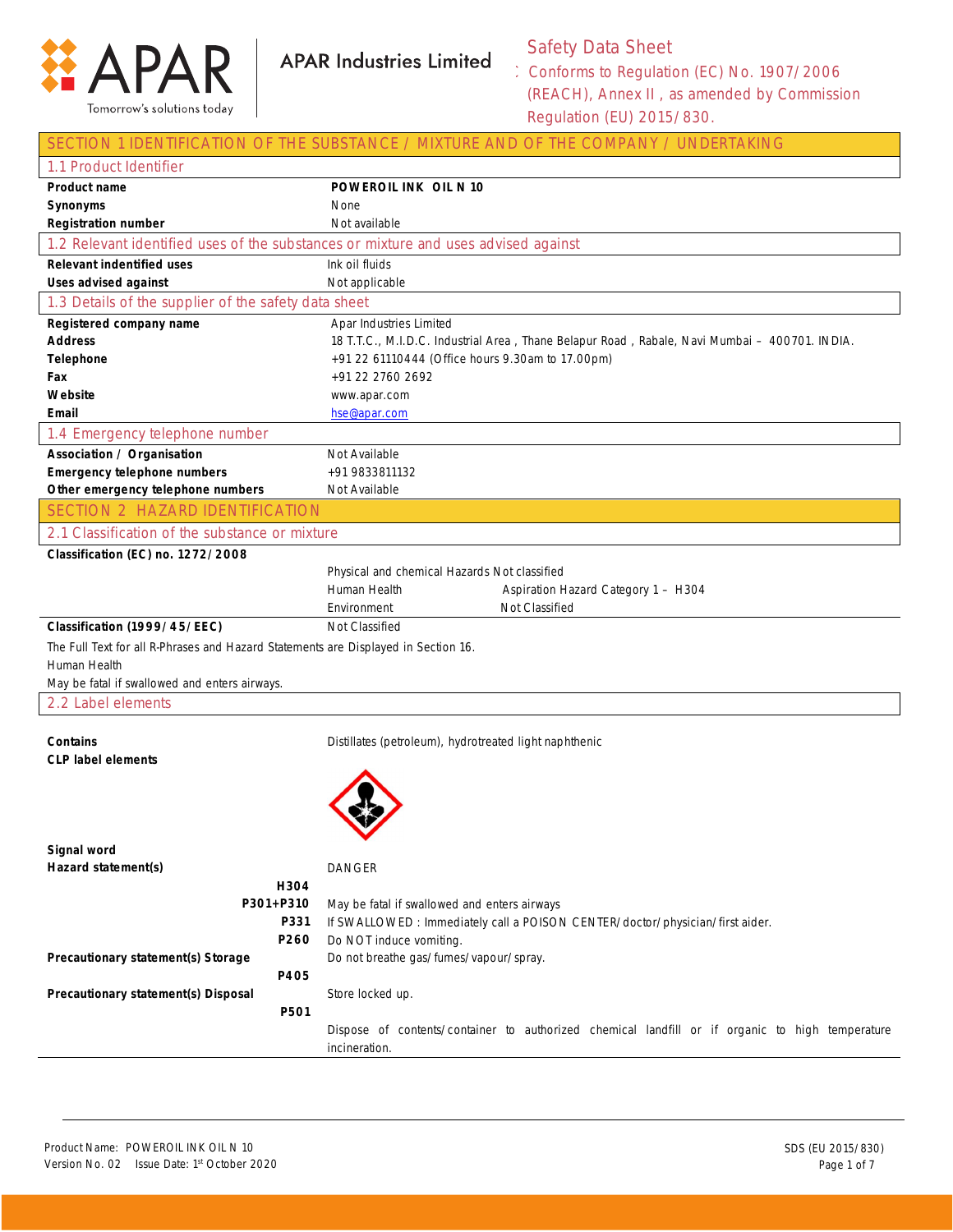

Safety Data Sheet

Conforms to Regulation (EC) No. 1907/2006 (REACH), Annex II , as amended by Commission Regulation (EU) 2015/830.

### SECTION 1 IDENTIFICATION OF THE SUBSTANCE / MIXTURE AND OF THE COMPANY / UNDERTAKING

| 1.1 Product Identifier                                                             |      |                                                                                                 |  |  |
|------------------------------------------------------------------------------------|------|-------------------------------------------------------------------------------------------------|--|--|
| Product name                                                                       |      | POWEROIL INK OIL N 10                                                                           |  |  |
| Synonyms                                                                           |      | None                                                                                            |  |  |
| <b>Registration number</b>                                                         |      | Not available                                                                                   |  |  |
|                                                                                    |      | 1.2 Relevant identified uses of the substances or mixture and uses advised against              |  |  |
| <b>Relevant indentified uses</b>                                                   |      | Ink oil fluids                                                                                  |  |  |
| <b>Uses advised against</b>                                                        |      | Not applicable                                                                                  |  |  |
| 1.3 Details of the supplier of the safety data sheet                               |      |                                                                                                 |  |  |
| Registered company name                                                            |      | Apar Industries Limited                                                                         |  |  |
| <b>Address</b>                                                                     |      | 18 T.T.C., M.I.D.C. Industrial Area, Thane Belapur Road, Rabale, Navi Mumbai - 400701. INDIA.   |  |  |
| <b>Telephone</b>                                                                   |      | +91 22 61110444 (Office hours 9.30am to 17.00pm)                                                |  |  |
| Fax                                                                                |      | +91 22 2760 2692                                                                                |  |  |
| Website                                                                            |      | www.apar.com                                                                                    |  |  |
| Email                                                                              |      | hse@apar.com                                                                                    |  |  |
| 1.4 Emergency telephone number                                                     |      |                                                                                                 |  |  |
| <b>Association / Organisation</b>                                                  |      | Not Available                                                                                   |  |  |
| <b>Emergency telephone numbers</b>                                                 |      | +91 9833811132                                                                                  |  |  |
| Other emergency telephone numbers                                                  |      | Not Available                                                                                   |  |  |
| <b>SECTION 2 HAZARD IDENTIFICATION</b>                                             |      |                                                                                                 |  |  |
| 2.1 Classification of the substance or mixture                                     |      |                                                                                                 |  |  |
| Classification (EC) no. 1272/2008                                                  |      |                                                                                                 |  |  |
|                                                                                    |      | Physical and chemical Hazards Not classified                                                    |  |  |
|                                                                                    |      | Human Health<br>Aspiration Hazard Category 1 - H304                                             |  |  |
| Not Classified<br>Environment                                                      |      |                                                                                                 |  |  |
| Classification (1999/45/EEC)                                                       |      | Not Classified                                                                                  |  |  |
| The Full Text for all R-Phrases and Hazard Statements are Displayed in Section 16. |      |                                                                                                 |  |  |
| Human Health                                                                       |      |                                                                                                 |  |  |
| May be fatal if swallowed and enters airways.<br>2.2 Label elements                |      |                                                                                                 |  |  |
|                                                                                    |      |                                                                                                 |  |  |
| <b>Contains</b>                                                                    |      | Distillates (petroleum), hydrotreated light naphthenic                                          |  |  |
| <b>CLP label elements</b>                                                          |      |                                                                                                 |  |  |
|                                                                                    |      |                                                                                                 |  |  |
|                                                                                    |      |                                                                                                 |  |  |
|                                                                                    |      |                                                                                                 |  |  |
|                                                                                    |      |                                                                                                 |  |  |
| Signal word                                                                        |      |                                                                                                 |  |  |
| Hazard statement(s)                                                                |      | <b>DANGER</b>                                                                                   |  |  |
|                                                                                    | H304 |                                                                                                 |  |  |
| P301+P310                                                                          |      | May be fatal if swallowed and enters airways                                                    |  |  |
|                                                                                    | P331 | If SWALLOWED : Immediately call a POISON CENTER/doctor/physician/first aider.                   |  |  |
|                                                                                    | P260 | Do NOT induce vomiting.<br>Do not breathe gas/fumes/vapour/spray.                               |  |  |
| Precautionary statement(s) Storage                                                 |      |                                                                                                 |  |  |
|                                                                                    | P405 |                                                                                                 |  |  |
| Precautionary statement(s) Disposal                                                |      | Store locked up.                                                                                |  |  |
|                                                                                    | P501 |                                                                                                 |  |  |
|                                                                                    |      | Dispose of contents/container to authorized chemical landfill or if organic to high temperature |  |  |
|                                                                                    |      | incineration.                                                                                   |  |  |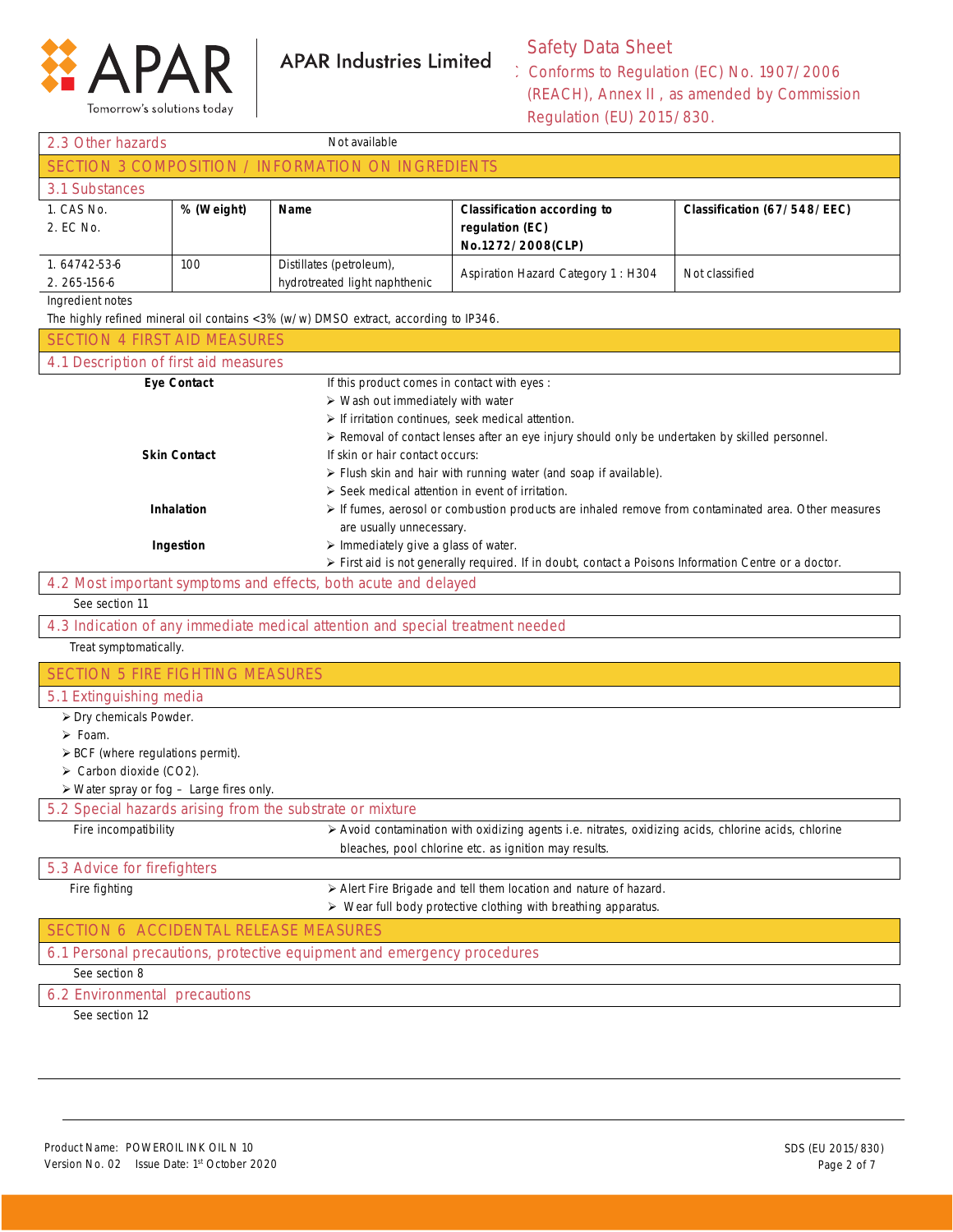

Tomorrow's solutions today

## **APAR Industries Limited**

## Safety Data Sheet

Conforms to Regulation (EC) No. 1907/2006 (REACH), Annex II , as amended by Commission Regulation (EU) 2015/830.

| 2.3 Other hazards                                       |                    | Not available                                                                                                                                                         |                                                                                                                                                                                                                                              |                             |  |
|---------------------------------------------------------|--------------------|-----------------------------------------------------------------------------------------------------------------------------------------------------------------------|----------------------------------------------------------------------------------------------------------------------------------------------------------------------------------------------------------------------------------------------|-----------------------------|--|
|                                                         |                    | SECTION 3 COMPOSITION / INFORMATION ON INGREDIENTS                                                                                                                    |                                                                                                                                                                                                                                              |                             |  |
| 3.1 Substances                                          |                    |                                                                                                                                                                       |                                                                                                                                                                                                                                              |                             |  |
| 1. CAS No.<br>2. EC No.                                 | % (Weight)         | Name                                                                                                                                                                  | <b>Classification according to</b><br>regulation (EC)<br>No.1272/2008(CLP)                                                                                                                                                                   | Classification (67/548/EEC) |  |
| 1.64742-53-6<br>2.265-156-6                             | 100                | Distillates (petroleum),<br>hydrotreated light naphthenic                                                                                                             | Aspiration Hazard Category 1: H304                                                                                                                                                                                                           | Not classified              |  |
| Ingredient notes                                        |                    | The highly refined mineral oil contains <3% (w/w) DMSO extract, according to IP346.                                                                                   |                                                                                                                                                                                                                                              |                             |  |
| <b>SECTION 4 FIRST AID MEASURES</b>                     |                    |                                                                                                                                                                       |                                                                                                                                                                                                                                              |                             |  |
| 4.1 Description of first aid measures                   |                    |                                                                                                                                                                       |                                                                                                                                                                                                                                              |                             |  |
|                                                         | <b>Eye Contact</b> | If this product comes in contact with eyes :<br>$\triangleright$ Wash out immediately with water<br>$\triangleright$ If irritation continues, seek medical attention. | > Removal of contact lenses after an eye injury should only be undertaken by skilled personnel.                                                                                                                                              |                             |  |
| <b>Skin Contact</b><br><b>Inhalation</b>                |                    | If skin or hair contact occurs:                                                                                                                                       | > Flush skin and hair with running water (and soap if available).<br>$\triangleright$ Seek medical attention in event of irritation.<br>> If fumes, aerosol or combustion products are inhaled remove from contaminated area. Other measures |                             |  |
|                                                         | Ingestion          | are usually unnecessary.<br>$\triangleright$ Immediately give a glass of water.                                                                                       | > First aid is not generally required. If in doubt, contact a Poisons Information Centre or a doctor.                                                                                                                                        |                             |  |
|                                                         |                    | 4.2 Most important symptoms and effects, both acute and delayed                                                                                                       |                                                                                                                                                                                                                                              |                             |  |
| See section 11                                          |                    |                                                                                                                                                                       |                                                                                                                                                                                                                                              |                             |  |
|                                                         |                    | 4.3 Indication of any immediate medical attention and special treatment needed                                                                                        |                                                                                                                                                                                                                                              |                             |  |
| Treat symptomatically.                                  |                    |                                                                                                                                                                       |                                                                                                                                                                                                                                              |                             |  |
| <b>SECTION 5 FIRE FIGHTING MEASURES</b>                 |                    |                                                                                                                                                                       |                                                                                                                                                                                                                                              |                             |  |
| 5.1 Extinguishing media                                 |                    |                                                                                                                                                                       |                                                                                                                                                                                                                                              |                             |  |
| > Dry chemicals Powder.<br>$\triangleright$ Foam.       |                    |                                                                                                                                                                       |                                                                                                                                                                                                                                              |                             |  |
| $\triangleright$ BCF (where regulations permit).        |                    |                                                                                                                                                                       |                                                                                                                                                                                                                                              |                             |  |
| > Carbon dioxide (CO2).                                 |                    |                                                                                                                                                                       |                                                                                                                                                                                                                                              |                             |  |
| $\triangleright$ Water spray or fog - Large fires only. |                    |                                                                                                                                                                       |                                                                                                                                                                                                                                              |                             |  |
|                                                         |                    | 5.2 Special hazards arising from the substrate or mixture                                                                                                             |                                                                                                                                                                                                                                              |                             |  |
| Fire incompatibility                                    |                    |                                                                                                                                                                       | $\triangleright$ Avoid contamination with oxidizing agents i.e. nitrates, oxidizing acids, chlorine acids, chlorine<br>bleaches, pool chlorine etc. as ignition may results.                                                                 |                             |  |
| 5.3 Advice for firefighters                             |                    |                                                                                                                                                                       |                                                                                                                                                                                                                                              |                             |  |
| Fire fighting                                           |                    |                                                                                                                                                                       | > Alert Fire Brigade and tell them location and nature of hazard.<br>> Wear full body protective clothing with breathing apparatus.                                                                                                          |                             |  |
| SECTION 6 ACCIDENTAL RELEASE MEASURES                   |                    |                                                                                                                                                                       |                                                                                                                                                                                                                                              |                             |  |
|                                                         |                    | 6.1 Personal precautions, protective equipment and emergency procedures                                                                                               |                                                                                                                                                                                                                                              |                             |  |
| See section 8                                           |                    |                                                                                                                                                                       |                                                                                                                                                                                                                                              |                             |  |
| 6.2 Environmental precautions                           |                    |                                                                                                                                                                       |                                                                                                                                                                                                                                              |                             |  |
| See section 12                                          |                    |                                                                                                                                                                       |                                                                                                                                                                                                                                              |                             |  |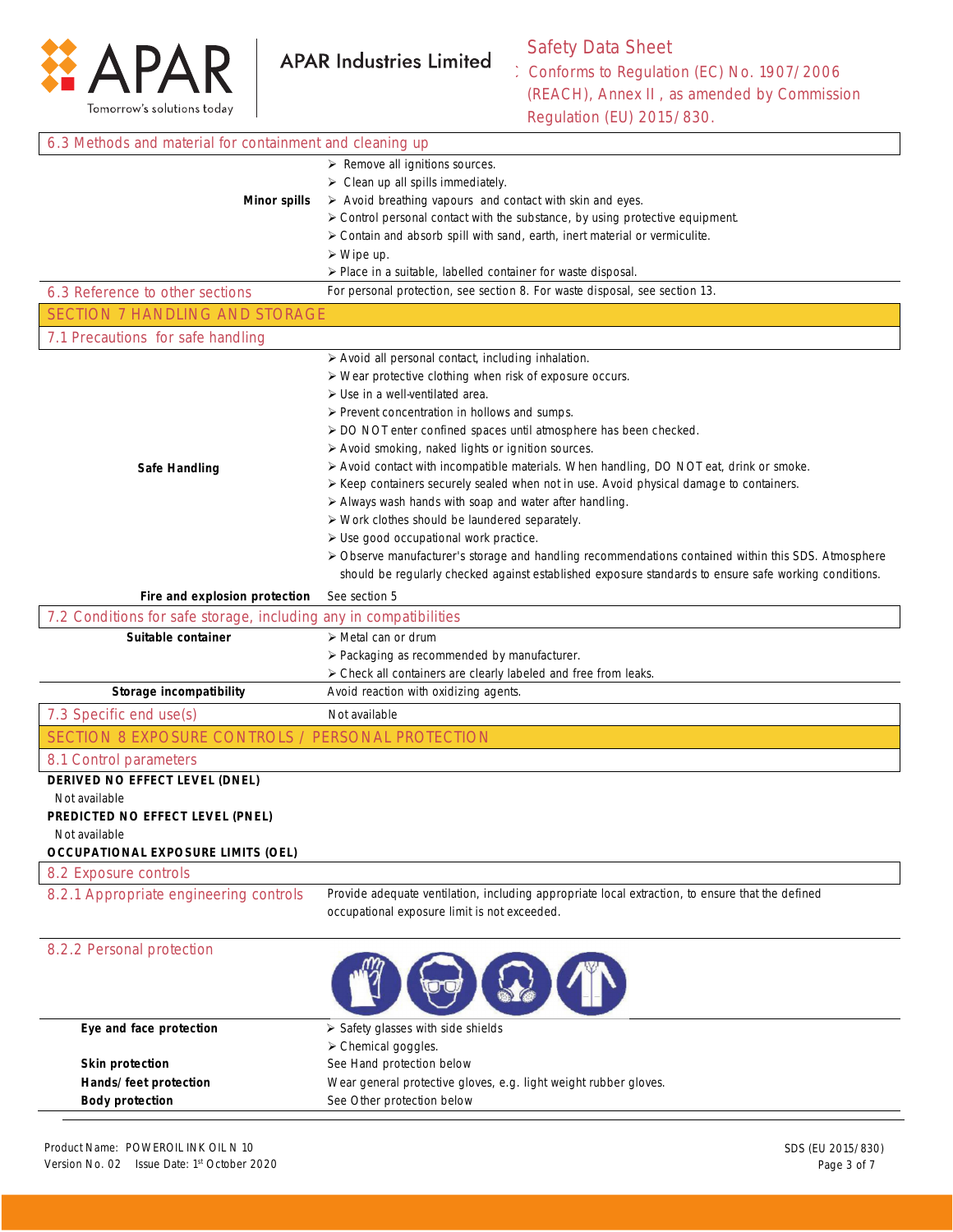

# Safety Data Sheet

Conforms to Regulation (EC) No. 1907/2006 (REACH), Annex II , as amended by Commission Regulation (EU) 2015/830.

| 6.3 Methods and material for containment and cleaning up          |                                                                                                          |  |  |
|-------------------------------------------------------------------|----------------------------------------------------------------------------------------------------------|--|--|
|                                                                   | $\triangleright$ Remove all ignitions sources.                                                           |  |  |
|                                                                   | $\triangleright$ Clean up all spills immediately.                                                        |  |  |
| <b>Minor spills</b>                                               | > Avoid breathing vapours and contact with skin and eyes.                                                |  |  |
|                                                                   | > Control personal contact with the substance, by using protective equipment.                            |  |  |
|                                                                   | > Contain and absorb spill with sand, earth, inert material or vermiculite.                              |  |  |
|                                                                   | $\triangleright$ Wipe up.                                                                                |  |  |
|                                                                   | > Place in a suitable, labelled container for waste disposal.                                            |  |  |
| 6.3 Reference to other sections                                   | For personal protection, see section 8. For waste disposal, see section 13.                              |  |  |
| <b>SECTION 7 HANDLING AND STORAGE</b>                             |                                                                                                          |  |  |
| 7.1 Precautions for safe handling                                 |                                                                                                          |  |  |
|                                                                   | > Avoid all personal contact, including inhalation.                                                      |  |  |
|                                                                   | > Wear protective clothing when risk of exposure occurs.                                                 |  |  |
|                                                                   | $\triangleright$ Use in a well-ventilated area.                                                          |  |  |
|                                                                   | > Prevent concentration in hollows and sumps.                                                            |  |  |
|                                                                   | > DO NOT enter confined spaces until atmosphere has been checked.                                        |  |  |
|                                                                   | > Avoid smoking, naked lights or ignition sources.                                                       |  |  |
| <b>Safe Handling</b>                                              | > Avoid contact with incompatible materials. When handling, DO NOT eat, drink or smoke.                  |  |  |
|                                                                   | ≻ Keep containers securely sealed when not in use. Avoid physical damage to containers.                  |  |  |
|                                                                   | > Always wash hands with soap and water after handling.                                                  |  |  |
|                                                                   | > Work clothes should be laundered separately.                                                           |  |  |
|                                                                   | > Use good occupational work practice.                                                                   |  |  |
|                                                                   | > Observe manufacturer's storage and handling recommendations contained within this SDS. Atmosphere      |  |  |
|                                                                   | should be regularly checked against established exposure standards to ensure safe working conditions.    |  |  |
| Fire and explosion protection                                     | See section 5                                                                                            |  |  |
| 7.2 Conditions for safe storage, including any in compatibilities |                                                                                                          |  |  |
| Suitable container                                                | > Metal can or drum                                                                                      |  |  |
|                                                                   | > Packaging as recommended by manufacturer.                                                              |  |  |
| Storage incompatibility                                           | > Check all containers are clearly labeled and free from leaks.<br>Avoid reaction with oxidizing agents. |  |  |
|                                                                   |                                                                                                          |  |  |
| 7.3 Specific end use(s)                                           | Not available                                                                                            |  |  |
| SECTION 8 EXPOSURE CONTROLS / PERSONAL PROTECTION                 |                                                                                                          |  |  |
| 8.1 Control parameters<br>DERIVED NO EFFECT LEVEL (DNEL)          |                                                                                                          |  |  |
| Not available                                                     |                                                                                                          |  |  |
| PREDICTED NO EFFECT LEVEL (PNEL)                                  |                                                                                                          |  |  |
| Not available                                                     |                                                                                                          |  |  |
| <b>OCCUPATIONAL EXPOSURE LIMITS (OEL)</b>                         |                                                                                                          |  |  |
| 8.2 Exposure controls                                             |                                                                                                          |  |  |
| 8.2.1 Appropriate engineering controls                            | Provide adequate ventilation, including appropriate local extraction, to ensure that the defined         |  |  |
|                                                                   | occupational exposure limit is not exceeded.                                                             |  |  |
|                                                                   |                                                                                                          |  |  |
| 8.2.2 Personal protection                                         |                                                                                                          |  |  |
|                                                                   |                                                                                                          |  |  |
|                                                                   |                                                                                                          |  |  |
|                                                                   |                                                                                                          |  |  |
| Eye and face protection                                           | > Safety glasses with side shields                                                                       |  |  |
|                                                                   | > Chemical goggles.                                                                                      |  |  |
| <b>Skin protection</b>                                            | See Hand protection below                                                                                |  |  |
| Hands/feet protection                                             | Wear general protective gloves, e.g. light weight rubber gloves.                                         |  |  |
| <b>Body protection</b>                                            | See Other protection below                                                                               |  |  |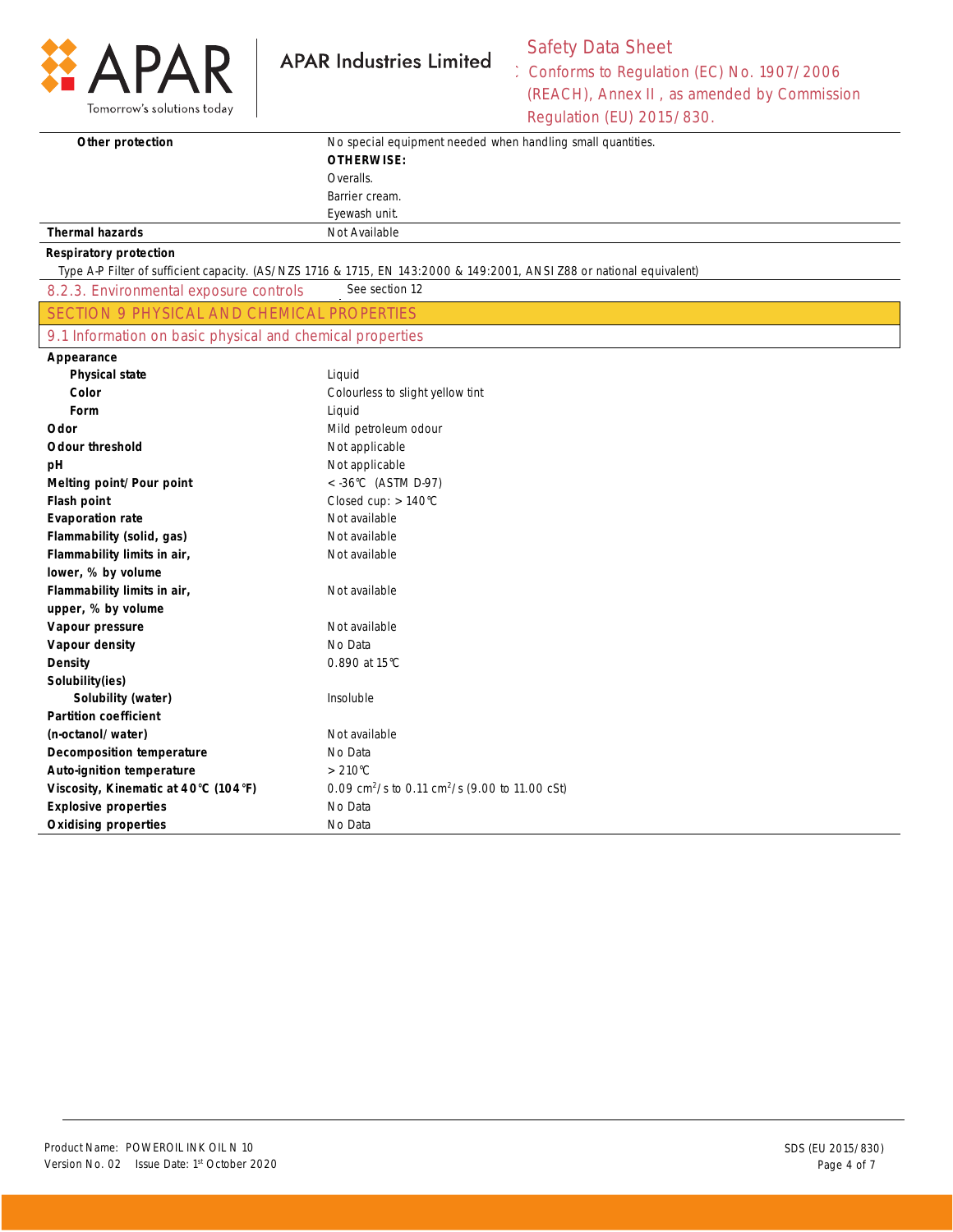

# Safety Data Sheet

Conforms to Regulation (EC) No. 1907/2006 (REACH), Annex II , as amended by Commission Regulation (EU) 2015/830.

| Other protection                                          | No special equipment needed when handling small quantities.                                                           |
|-----------------------------------------------------------|-----------------------------------------------------------------------------------------------------------------------|
|                                                           | <b>OTHERWISE:</b>                                                                                                     |
|                                                           | Overalls.                                                                                                             |
|                                                           | Barrier cream.                                                                                                        |
|                                                           | Eyewash unit.                                                                                                         |
| <b>Thermal hazards</b>                                    | Not Available                                                                                                         |
| <b>Respiratory protection</b>                             |                                                                                                                       |
|                                                           | Type A-P Filter of sufficient capacity. (AS/NZS 1716 & 1715, EN 143:2000 & 149:2001, ANSI Z88 or national equivalent) |
| 8.2.3. Environmental exposure controls                    | See section 12                                                                                                        |
| SECTION 9 PHYSICAL AND CHEMICAL PROPERTIES                |                                                                                                                       |
| 9.1 Information on basic physical and chemical properties |                                                                                                                       |
| Appearance                                                |                                                                                                                       |
| <b>Physical state</b>                                     | Liquid                                                                                                                |
| Color                                                     | Colourless to slight yellow tint                                                                                      |
| Form                                                      | Liquid                                                                                                                |
| Odor                                                      | Mild petroleum odour                                                                                                  |
| <b>Odour threshold</b>                                    | Not applicable                                                                                                        |
| рH                                                        | Not applicable                                                                                                        |
| Melting point/Pour point                                  | $<$ -36°C (ASTM D-97)                                                                                                 |
| Flash point                                               | Closed cup: $>140^{\circ}$ C                                                                                          |
| <b>Evaporation rate</b>                                   | Not available                                                                                                         |
| Flammability (solid, gas)                                 | Not available                                                                                                         |
| Flammability limits in air,                               | Not available                                                                                                         |
| lower, % by volume                                        |                                                                                                                       |
| Flammability limits in air,                               | Not available                                                                                                         |
| upper, % by volume                                        |                                                                                                                       |
| Vapour pressure                                           | Not available                                                                                                         |
| Vapour density                                            | No Data                                                                                                               |
| <b>Density</b>                                            | 0.890 at 15°C                                                                                                         |
| Solubility(ies)                                           |                                                                                                                       |
| Solubility (water)                                        | Insoluble                                                                                                             |
| <b>Partition coefficient</b>                              |                                                                                                                       |
| (n-octanol/water)                                         | Not available                                                                                                         |
| <b>Decomposition temperature</b>                          | No Data                                                                                                               |
| Auto-ignition temperature                                 | $>210^{\circ}$ C                                                                                                      |
| Viscosity, Kinematic at 40°C (104°F)                      | 0.09 cm <sup>2</sup> /s to 0.11 cm <sup>2</sup> /s (9.00 to 11.00 cSt)                                                |
| <b>Explosive properties</b>                               | No Data                                                                                                               |
| <b>Oxidising properties</b>                               | No Data                                                                                                               |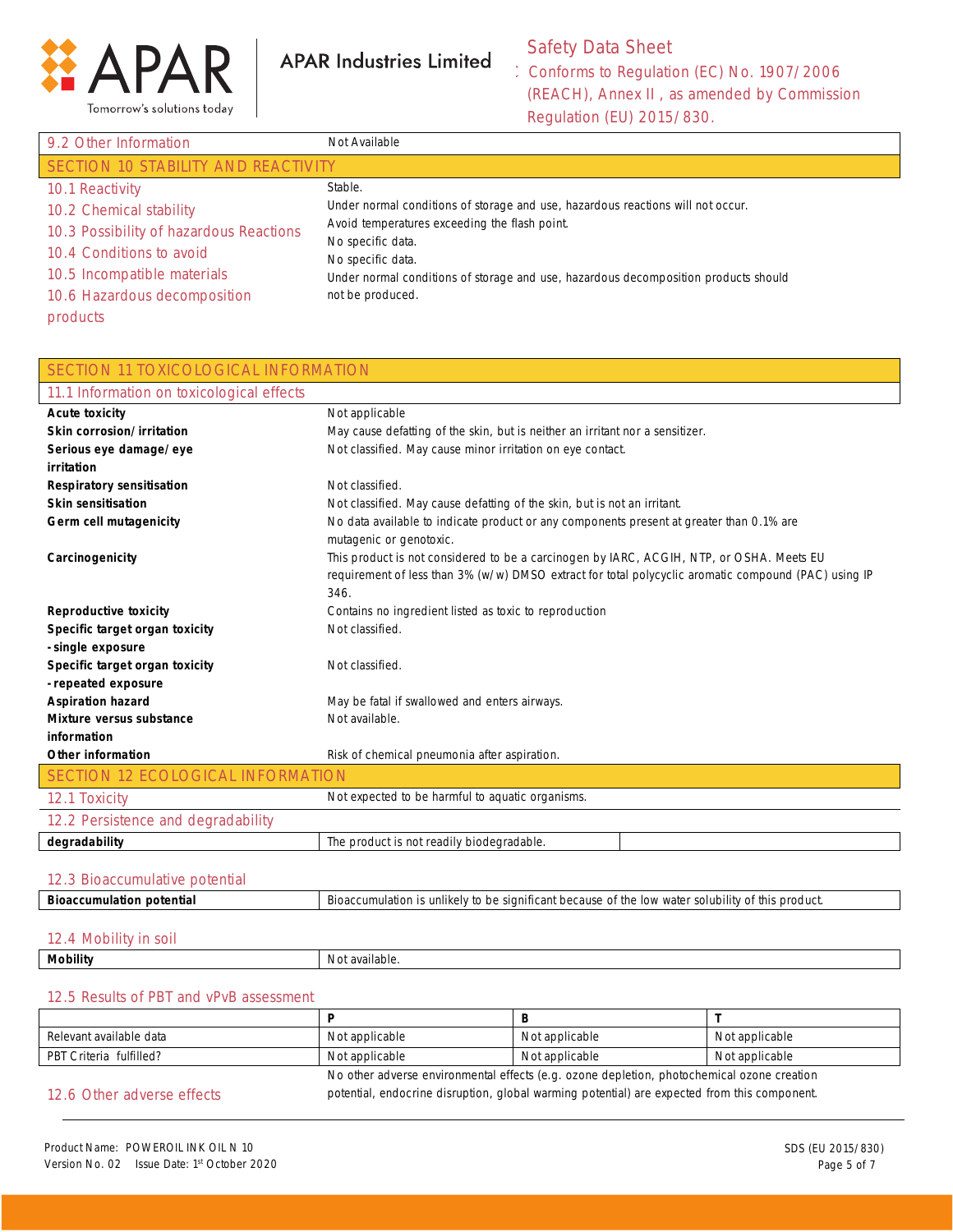

## Safety Data Sheet

Conforms to Regulation (EC) No. 1907/2006 (REACH), Annex II , as amended by Commission Regulation (EU) 2015/830.

| 9.2 Other Information                   | Not Available                                                                       |  |  |
|-----------------------------------------|-------------------------------------------------------------------------------------|--|--|
| SECTION 10 STABILITY AND REACTIVITY     |                                                                                     |  |  |
| 10.1 Reactivity                         | Stable.                                                                             |  |  |
| 10.2 Chemical stability                 | Under normal conditions of storage and use, hazardous reactions will not occur.     |  |  |
| 10.3 Possibility of hazardous Reactions | Avoid temperatures exceeding the flash point.<br>No specific data.                  |  |  |
| 10.4 Conditions to avoid                | No specific data.                                                                   |  |  |
| 10.5 Incompatible materials             | Under normal conditions of storage and use, hazardous decomposition products should |  |  |
| 10.6 Hazardous decomposition            | not be produced.                                                                    |  |  |
| products                                |                                                                                     |  |  |

| SECTION 11 TOXICOLOGICAL INFORMATION      |                                                                                                      |  |
|-------------------------------------------|------------------------------------------------------------------------------------------------------|--|
| 11.1 Information on toxicological effects |                                                                                                      |  |
| <b>Acute toxicity</b>                     | Not applicable                                                                                       |  |
| Skin corrosion/irritation                 | May cause defatting of the skin, but is neither an irritant nor a sensitizer.                        |  |
| Serious eye damage/eye                    | Not classified. May cause minor irritation on eye contact.                                           |  |
| irritation                                |                                                                                                      |  |
| <b>Respiratory sensitisation</b>          | Not classified.                                                                                      |  |
| <b>Skin sensitisation</b>                 | Not classified. May cause defatting of the skin, but is not an irritant.                             |  |
| Germ cell mutagenicity                    | No data available to indicate product or any components present at greater than 0.1% are             |  |
|                                           | mutagenic or genotoxic.                                                                              |  |
| Carcinogenicity                           | This product is not considered to be a carcinogen by IARC, ACGIH, NTP, or OSHA. Meets EU             |  |
|                                           | requirement of less than 3% (w/w) DMSO extract for total polycyclic aromatic compound (PAC) using IP |  |
|                                           | 346.                                                                                                 |  |
| <b>Reproductive toxicity</b>              | Contains no ingredient listed as toxic to reproduction                                               |  |
| Specific target organ toxicity            | Not classified.                                                                                      |  |
| - single exposure                         |                                                                                                      |  |
| Specific target organ toxicity            | Not classified.                                                                                      |  |
| - repeated exposure                       |                                                                                                      |  |
| <b>Aspiration hazard</b>                  | May be fatal if swallowed and enters airways.                                                        |  |
| Mixture versus substance                  | Not available.                                                                                       |  |
| information                               |                                                                                                      |  |
| <b>Other information</b>                  | Risk of chemical pneumonia after aspiration.                                                         |  |
| <b>SECTION 12 ECOLOGICAL INFORMATION</b>  |                                                                                                      |  |
| 12.1 Toxicity                             | Not expected to be harmful to aquatic organisms.                                                     |  |
| 12.2 Persistence and degradability        |                                                                                                      |  |
| degradability                             | The product is not readily biodegradable.                                                            |  |
|                                           |                                                                                                      |  |
| 12.3 Bioaccumulative potential            |                                                                                                      |  |

## **Bioaccumulation potential** Bioaccumulation is unlikely to be significant because of the low water solubility of this product.

#### 12.4 Mobility in soil

| Mobility | available |
|----------|-----------|
| -------  | - INO.    |
|          |           |
|          |           |

#### 12.5 Results of PBT and vPvB assessment

| Relevant available data    | Not applicable                                                                               | Not applicable | Not applicable |
|----------------------------|----------------------------------------------------------------------------------------------|----------------|----------------|
| PBT Criteria fulfilled?    | Not applicable                                                                               | Not applicable | Not applicable |
|                            | No other adverse environmental effects (e.g. ozone depletion, photochemical ozone creation   |                |                |
| 12.6 Other adverse effects | potential, endocrine disruption, global warming potential) are expected from this component. |                |                |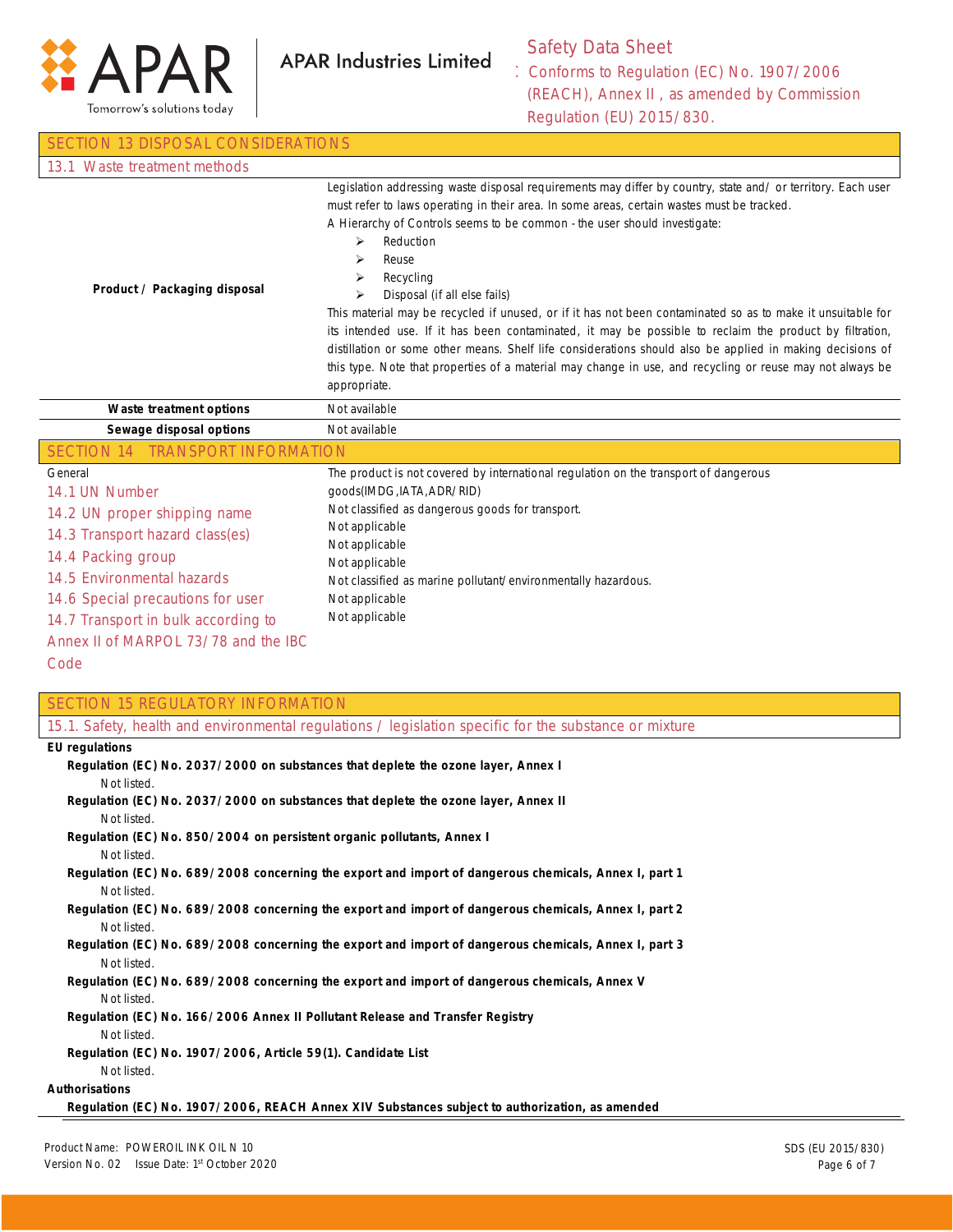

### Safety Data Sheet

Conforms to Regulation (EC) No. 1907/2006 (REACH), Annex II , as amended by Commission Regulation (EU) 2015/830.

| <b>SECTION 13 DISPOSAL CONSIDERATIONS</b>                                                                                                                                                                                                                                    |                                                                                                                                                                                                                                                                                                                                                                                                                                                                                                                                                                                                                                                                                                                                                                                                                                                    |
|------------------------------------------------------------------------------------------------------------------------------------------------------------------------------------------------------------------------------------------------------------------------------|----------------------------------------------------------------------------------------------------------------------------------------------------------------------------------------------------------------------------------------------------------------------------------------------------------------------------------------------------------------------------------------------------------------------------------------------------------------------------------------------------------------------------------------------------------------------------------------------------------------------------------------------------------------------------------------------------------------------------------------------------------------------------------------------------------------------------------------------------|
| 13.1 Waste treatment methods                                                                                                                                                                                                                                                 |                                                                                                                                                                                                                                                                                                                                                                                                                                                                                                                                                                                                                                                                                                                                                                                                                                                    |
| Product / Packaging disposal                                                                                                                                                                                                                                                 | Legislation addressing waste disposal requirements may differ by country, state and/ or territory. Each user<br>must refer to laws operating in their area. In some areas, certain wastes must be tracked.<br>A Hierarchy of Controls seems to be common - the user should investigate:<br>Reduction<br>⋗<br>⋗<br>Reuse<br>Recycling<br>⋗<br>Disposal (if all else fails)<br>⋗<br>This material may be recycled if unused, or if it has not been contaminated so as to make it unsuitable for<br>its intended use. If it has been contaminated, it may be possible to reclaim the product by filtration,<br>distillation or some other means. Shelf life considerations should also be applied in making decisions of<br>this type. Note that properties of a material may change in use, and recycling or reuse may not always be<br>appropriate. |
| Waste treatment options                                                                                                                                                                                                                                                      | Not available                                                                                                                                                                                                                                                                                                                                                                                                                                                                                                                                                                                                                                                                                                                                                                                                                                      |
| Sewage disposal options                                                                                                                                                                                                                                                      | Not available                                                                                                                                                                                                                                                                                                                                                                                                                                                                                                                                                                                                                                                                                                                                                                                                                                      |
| <b>TRANSPORT INFORMATION</b><br><b>SECTION 14</b>                                                                                                                                                                                                                            |                                                                                                                                                                                                                                                                                                                                                                                                                                                                                                                                                                                                                                                                                                                                                                                                                                                    |
| General<br>14.1 UN Number<br>14.2 UN proper shipping name<br>14.3 Transport hazard class(es)<br>14.4 Packing group<br>14.5 Environmental hazards<br>14.6 Special precautions for user<br>14.7 Transport in bulk according to<br>Annex II of MARPOL 73/78 and the IBC<br>Code | The product is not covered by international regulation on the transport of dangerous<br>goods(IMDG, IATA, ADR/RID)<br>Not classified as dangerous goods for transport.<br>Not applicable<br>Not applicable<br>Not applicable<br>Not classified as marine pollutant/environmentally hazardous.<br>Not applicable<br>Not applicable                                                                                                                                                                                                                                                                                                                                                                                                                                                                                                                  |

 Not listed. **Regulation (EC) No. 689/2008 concerning the export and import of dangerous chemicals, Annex I, part 2** Not listed.

#### **Regulation (EC) No. 689/2008 concerning the export and import of dangerous chemicals, Annex I, part 3** Not listed.

#### **Regulation (EC) No. 689/2008 concerning the export and import of dangerous chemicals, Annex V** Not listed.

**Regulation (EC) No. 166/2006 Annex II Pollutant Release and Transfer Registry** Not listed.

**Regulation (EC) No. 1907/2006, Article 59(1). Candidate List**

#### Not listed.

**Authorisations**

**Regulation (EC) No. 1907/2006, REACH Annex XIV Substances subject to authorization, as amended**

SECTION 15 REGULATORY INFORMATION